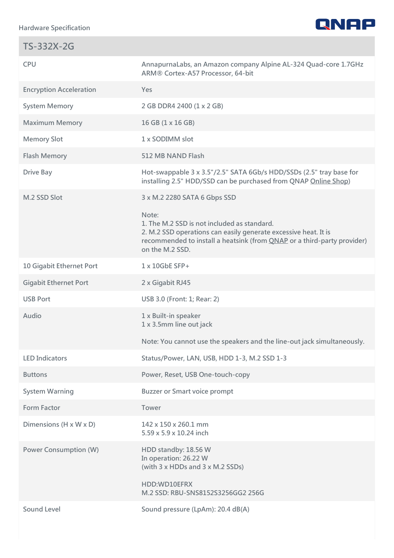

| TS-332X-2G                     |                                                                                                                                                                                                                       |
|--------------------------------|-----------------------------------------------------------------------------------------------------------------------------------------------------------------------------------------------------------------------|
| <b>CPU</b>                     | AnnapurnaLabs, an Amazon company Alpine AL-324 Quad-core 1.7GHz<br>ARM® Cortex-A57 Processor, 64-bit                                                                                                                  |
| <b>Encryption Acceleration</b> | Yes                                                                                                                                                                                                                   |
| <b>System Memory</b>           | 2 GB DDR4 2400 (1 x 2 GB)                                                                                                                                                                                             |
| <b>Maximum Memory</b>          | 16 GB (1 x 16 GB)                                                                                                                                                                                                     |
| <b>Memory Slot</b>             | 1 x SODIMM slot                                                                                                                                                                                                       |
| <b>Flash Memory</b>            | 512 MB NAND Flash                                                                                                                                                                                                     |
| <b>Drive Bay</b>               | Hot-swappable 3 x 3.5"/2.5" SATA 6Gb/s HDD/SSDs (2.5" tray base for<br>installing 2.5" HDD/SSD can be purchased from QNAP Online Shop)                                                                                |
| M.2 SSD Slot                   | 3 x M.2 2280 SATA 6 Gbps SSD                                                                                                                                                                                          |
|                                | Note:<br>1. The M.2 SSD is not included as standard.<br>2. M.2 SSD operations can easily generate excessive heat. It is<br>recommended to install a heatsink (from QNAP or a third-party provider)<br>on the M.2 SSD. |
| 10 Gigabit Ethernet Port       | $1 \times 10$ GbE SFP+                                                                                                                                                                                                |
| <b>Gigabit Ethernet Port</b>   | 2 x Gigabit RJ45                                                                                                                                                                                                      |
| <b>USB Port</b>                | USB 3.0 (Front: 1; Rear: 2)                                                                                                                                                                                           |
| Audio                          | 1 x Built-in speaker<br>1 x 3.5mm line out jack                                                                                                                                                                       |
|                                | Note: You cannot use the speakers and the line-out jack simultaneously.                                                                                                                                               |
| <b>LED Indicators</b>          | Status/Power, LAN, USB, HDD 1-3, M.2 SSD 1-3                                                                                                                                                                          |
| <b>Buttons</b>                 | Power, Reset, USB One-touch-copy                                                                                                                                                                                      |
| <b>System Warning</b>          | <b>Buzzer or Smart voice prompt</b>                                                                                                                                                                                   |
| <b>Form Factor</b>             | Tower                                                                                                                                                                                                                 |
| Dimensions (H x W x D)         | 142 x 150 x 260.1 mm<br>5.59 x 5.9 x 10.24 inch                                                                                                                                                                       |
| <b>Power Consumption (W)</b>   | HDD standby: 18.56 W<br>In operation: 26.22 W<br>(with 3 x HDDs and 3 x M.2 SSDs)<br>HDD:WD10EFRX                                                                                                                     |
|                                | M.2 SSD: RBU-SNS8152S3256GG2 256G                                                                                                                                                                                     |
| <b>Sound Level</b>             | Sound pressure (LpAm): 20.4 dB(A)                                                                                                                                                                                     |